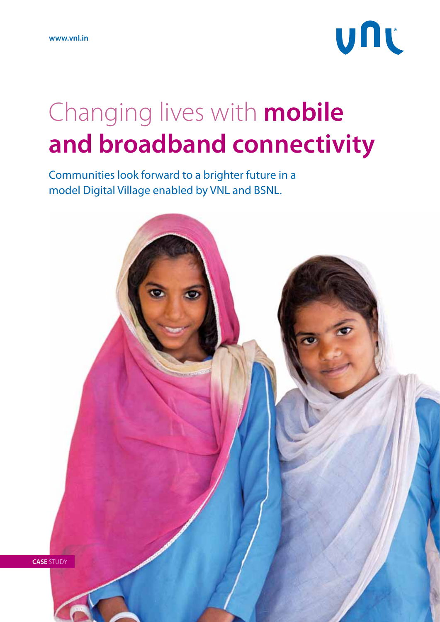# UNL

## Changing lives with **mobile and broadband connectivity**

Communities look forward to a brighter future in a model Digital Village enabled by VNL and BSNL.

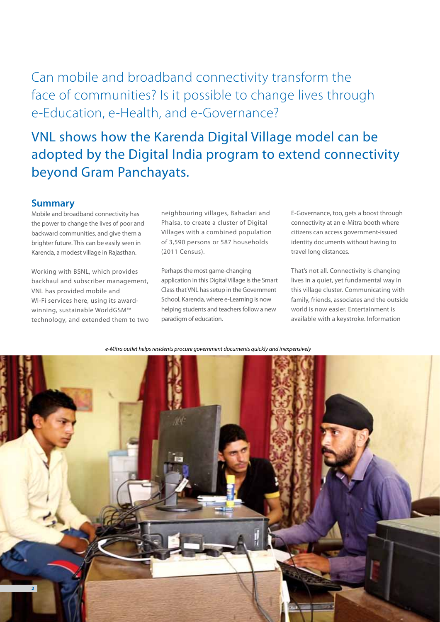### Can mobile and broadband connectivity transform the face of communities? Is it possible to change lives through e-Education, e-Health, and e-Governance?

VNL shows how the Karenda Digital Village model can be adopted by the Digital India program to extend connectivity beyond Gram Panchayats.

#### **Summary**

Mobile and broadband connectivity has the power to change the lives of poor and backward communities, and give them a brighter future. This can be easily seen in Karenda, a modest village in Rajasthan.

Working with BSNL, which provides backhaul and subscriber management, VNL has provided mobile and Wi-Fi services here, using its awardwinning, sustainable WorldGSM™ technology, and extended them to two

neighbouring villages, Bahadari and Phalsa, to create a cluster of Digital Villages with a combined population of 3,590 persons or 587 households (2011 Census).

Perhaps the most game-changing application in this Digital Village is the Smart Class that VNL has setup in the Government School, Karenda, where e-Learning is now helping students and teachers follow a new paradigm of education.

E-Governance, too, gets a boost through connectivity at an e-Mitra booth where citizens can access government-issued identity documents without having to travel long distances.

That's not all. Connectivity is changing lives in a quiet, yet fundamental way in this village cluster. Communicating with family, friends, associates and the outside world is now easier. Entertainment is available with a keystroke. Information

*e-Mitra outlet helps residents procure government documents quickly and inexpensively*

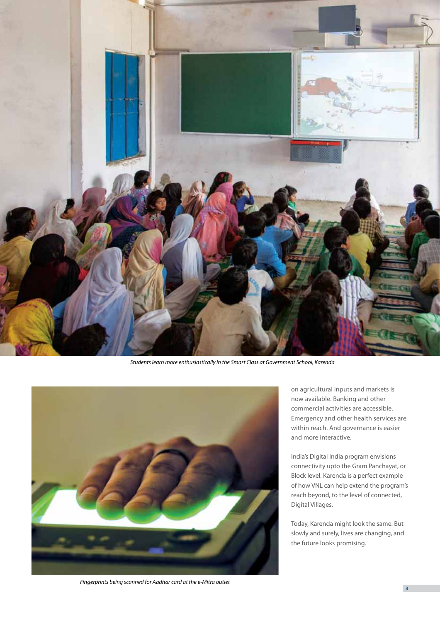

*Students learn more enthusiastically in the Smart Class at Government School, Karenda*



*Fingerprints being scanned for Aadhar card at the e-Mitra outlet*

on agricultural inputs and markets is now available. Banking and other commercial activities are accessible. Emergency and other health services are within reach. And governance is easier and more interactive.

India's Digital India program envisions connectivity upto the Gram Panchayat, or Block level. Karenda is a perfect example of how VNL can help extend the program's reach beyond, to the level of connected, Digital Villages.

Today, Karenda might look the same. But slowly and surely, lives are changing, and the future looks promising.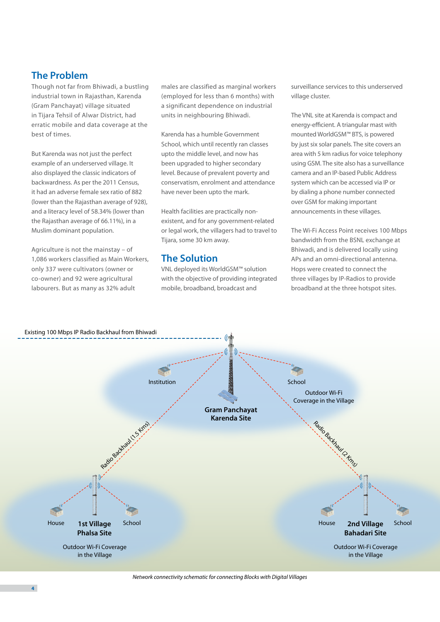#### **The Problem**

Though not far from Bhiwadi, a bustling industrial town in Rajasthan, Karenda (Gram Panchayat) village situated in Tijara Tehsil of Alwar District, had erratic mobile and data coverage at the best of times.

But Karenda was not just the perfect example of an underserved village. It also displayed the classic indicators of backwardness. As per the 2011 Census, it had an adverse female sex ratio of 882 (lower than the Rajasthan average of 928), and a literacy level of 58.34% (lower than the Rajasthan average of 66.11%), in a Muslim dominant population.

Agriculture is not the mainstay – of 1,086 workers classified as Main Workers, only 337 were cultivators (owner or co-owner) and 92 were agricultural labourers. But as many as 32% adult

males are classified as marginal workers (employed for less than 6 months) with a significant dependence on industrial units in neighbouring Bhiwadi.

Karenda has a humble Government School, which until recently ran classes upto the middle level, and now has been upgraded to higher secondary level. Because of prevalent poverty and conservatism, enrolment and attendance have never been upto the mark.

Health facilities are practically nonexistent, and for any government-related or legal work, the villagers had to travel to Tijara, some 30 km away.

#### **The Solution**

VNL deployed its WorldGSM™ solution with the objective of providing integrated mobile, broadband, broadcast and

surveillance services to this underserved village cluster.

The VNL site at Karenda is compact and energy-efficient. A triangular mast with mounted WorldGSM™ BTS, is powered by just six solar panels. The site covers an area with 5 km radius for voice telephony using GSM. The site also has a surveillance camera and an IP-based Public Address system which can be accessed via IP or by dialing a phone number connected over GSM for making important announcements in these villages.

The Wi-Fi Access Point receives 100 Mbps bandwidth from the BSNL exchange at Bhiwadi, and is delivered locally using APs and an omni-directional antenna. Hops were created to connect the three villages by IP-Radios to provide broadband at the three hotspot sites.



*Network connectivity schematic for connecting Blocks with Digital Villages*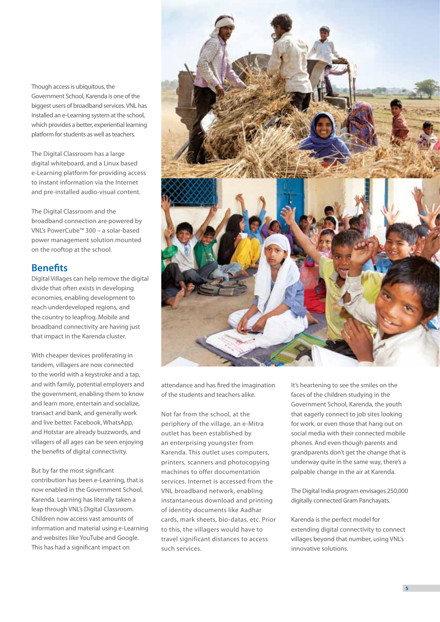Though access is ubiquitous, the Government School, Karenda is one of the biggest users of broadband services. VNL has installed an e-Learning system at the school, which provides a better, experiential learning platform for students as well as teachers.

The Digital Classroom has a large digital whiteboard, and a Linux based e-Learning platform for providing access to instant information via the Internet and pre-installed audio-visual content.

The Digital Classroom and the broadband connection are powered by VNL's PowerCube™ 300 – a solar-based power management solution mounted on the rooftop at the school.

#### **Benefits**

Digital Villages can help remove the digital divide that often exists in developing economies, enabling development to reach underdeveloped regions, and the country to leapfrog. Mobile and broadband connectivity are having just that impact in the Karenda cluster.

With cheaper devices proliferating in tandem, villagers are now connected to the world with a keystroke and a tap, and with family, potential employers and the government, enabling them to know and learn more, entertain and socialize, transact and bank, and generally work and live better. Facebook, WhatsApp, and Hotstar are already buzzwords, and villagers of all ages can be seen enjoying the benefits of digital connectivity.

But by far the most significant contribution has been e-Learning, that is now enabled in the Government School, Karenda. Learning has literally taken a leap through VNL's Digital Classroom. Children now access vast amounts of information and material using e-Learning and websites like YouTube and Google. This has had a significant impact on



attendance and has fired the imagination of the students and teachers alike.

Not far from the school, at the periphery of the village, an e-Mitra outlet has been established by an enterprising youngster from Karenda. This outlet uses computers, printers, scanners and photocopying machines to offer documentation services. Internet is accessed from the VNL broadband network, enabling instantaneous download and printing of identity documents like Aadhar cards, mark sheets, bio-datas, etc. Prior to this, the villagers would have to travel significant distances to access such services.

It's heartening to see the smiles on the faces of the children studying in the Government School, Karenda, the youth that eagerly connect to job sites looking for work, or even those that hang out on social media with their connected mobile phones. And even though parents and grandparents don't get the change that is underway quite in the same way, there's a palpable change in the air at Karenda.

The Digital India program envisages 250,000 digitally connected Gram Panchayats.

Karenda is the perfect model for extending digital connectivity to connect villages beyond that number, using VNL's innovative solutions.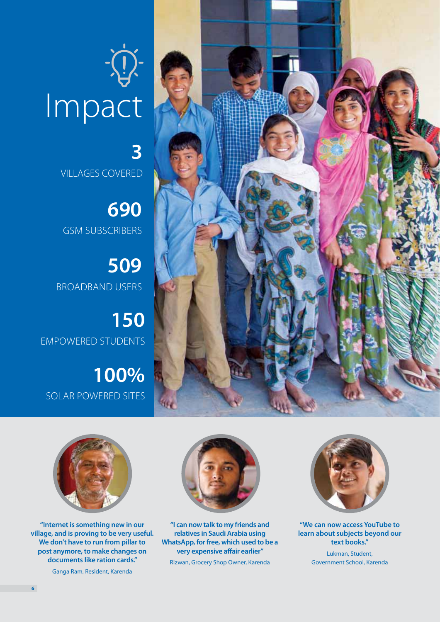



VILLAGES COvered

**3**

**690** GSM Subscribers

**509** Broadband Users

**150** Empowered students

**100%** solar powered sites



**"Internet is something new in our village, and is proving to be very useful. We don't have to run from pillar to post anymore, to make changes on documents like ration cards."**

Ganga Ram, Resident, Karenda



**"I can now talk to my friends and relatives in Saudi Arabia using WhatsApp, for free, which used to be a very expensive affair earlier"**

Rizwan, Grocery Shop Owner, Karenda



**"We can now access YouTube to learn about subjects beyond our text books."**

> Lukman, Student, Government School, Karenda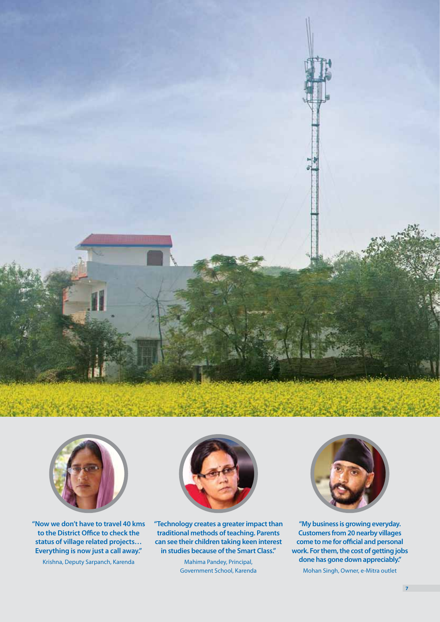



**"Now we don't have to travel 40 kms to the District Office to check the status of village related projects… Everything is now just a call away."**

Krishna, Deputy Sarpanch, Karenda



**"Technology creates a greater impact than traditional methods of teaching. Parents can see their children taking keen interest in studies because of the Smart Class."**

> Mahima Pandey, Principal, Government School, Karenda



**"My business is growing everyday. Customers from 20 nearby villages come to me for official and personal work. For them, the cost of getting jobs done has gone down appreciably."** 

Mohan Singh, Owner, e-Mitra outlet